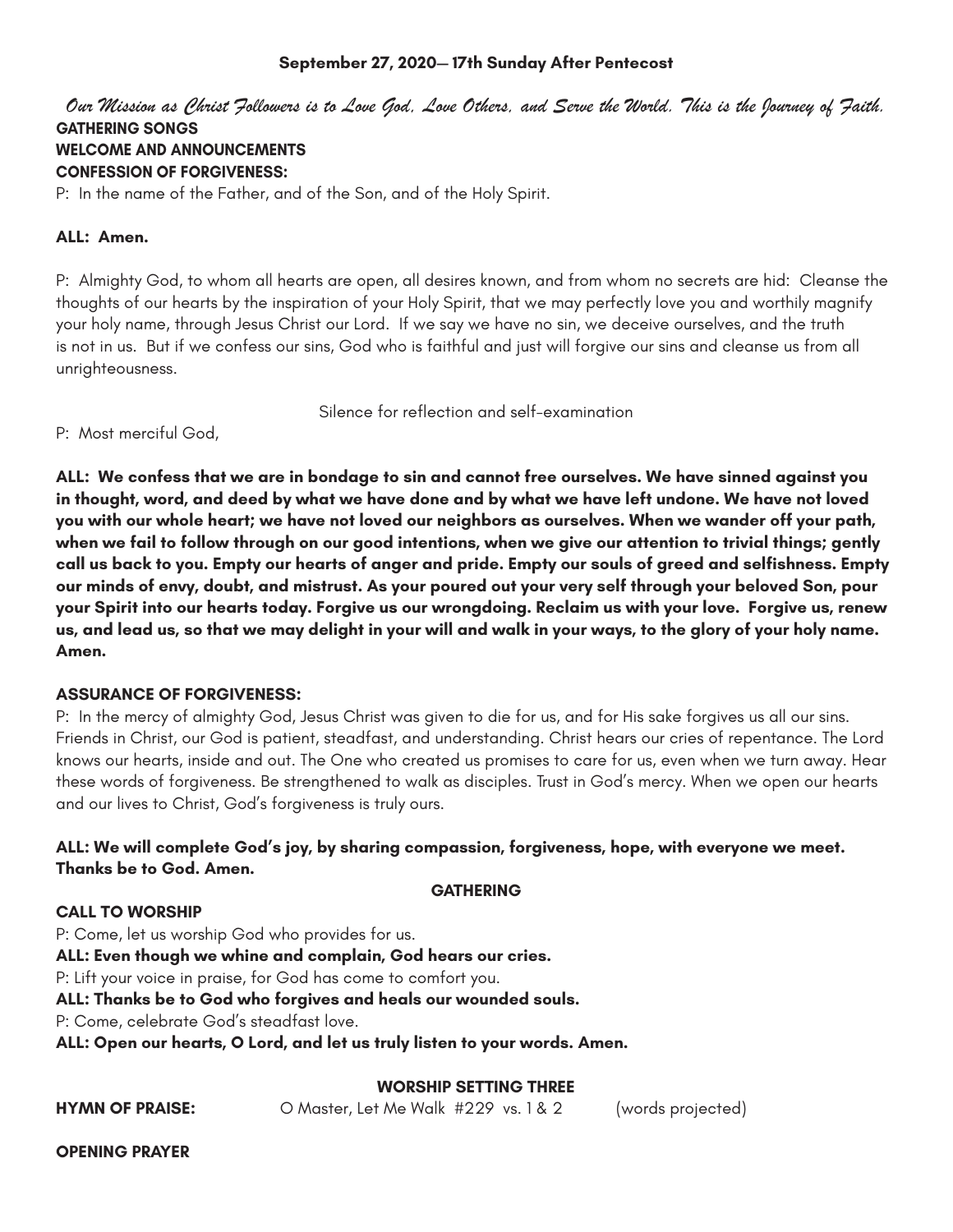# **September 27, 2020— 17th Sunday After Pentecost**

*Our Mission as Christ Followers is to Love God, Love Others, and Serve the World. This is the Journey of Faith.*  **GATHERING SONGS WELCOME AND ANNOUNCEMENTS CONFESSION OF FORGIVENESS:**

P: In the name of the Father, and of the Son, and of the Holy Spirit.

# **ALL: Amen.**

P: Almighty God, to whom all hearts are open, all desires known, and from whom no secrets are hid: Cleanse the thoughts of our hearts by the inspiration of your Holy Spirit, that we may perfectly love you and worthily magnify your holy name, through Jesus Christ our Lord. If we say we have no sin, we deceive ourselves, and the truth is not in us. But if we confess our sins, God who is faithful and just will forgive our sins and cleanse us from all unrighteousness.

Silence for reflection and self-examination

P: Most merciful God,

**ALL: We confess that we are in bondage to sin and cannot free ourselves. We have sinned against you in thought, word, and deed by what we have done and by what we have left undone. We have not loved you with our whole heart; we have not loved our neighbors as ourselves. When we wander off your path, when we fail to follow through on our good intentions, when we give our attention to trivial things; gently call us back to you. Empty our hearts of anger and pride. Empty our souls of greed and selfishness. Empty our minds of envy, doubt, and mistrust. As your poured out your very self through your beloved Son, pour your Spirit into our hearts today. Forgive us our wrongdoing. Reclaim us with your love. Forgive us, renew us, and lead us, so that we may delight in your will and walk in your ways, to the glory of your holy name. Amen.** 

## **ASSURANCE OF FORGIVENESS:**

P: In the mercy of almighty God, Jesus Christ was given to die for us, and for His sake forgives us all our sins. Friends in Christ, our God is patient, steadfast, and understanding. Christ hears our cries of repentance. The Lord knows our hearts, inside and out. The One who created us promises to care for us, even when we turn away. Hear these words of forgiveness. Be strengthened to walk as disciples. Trust in God's mercy. When we open our hearts and our lives to Christ, God's forgiveness is truly ours.

# **ALL: We will complete God's joy, by sharing compassion, forgiveness, hope, with everyone we meet. Thanks be to God. Amen.**

## **GATHERING**

## **CALL TO WORSHIP**

P: Come, let us worship God who provides for us. **ALL: Even though we whine and complain, God hears our cries.**  P: Lift your voice in praise, for God has come to comfort you. **ALL: Thanks be to God who forgives and heals our wounded souls.**  P: Come, celebrate God's steadfast love. **ALL: Open our hearts, O Lord, and let us truly listen to your words. Amen.** 

# **WORSHIP SETTING THREE**

**HYMN OF PRAISE:** O Master, Let Me Walk #229 vs. 1 & 2 (words projected)

**OPENING PRAYER**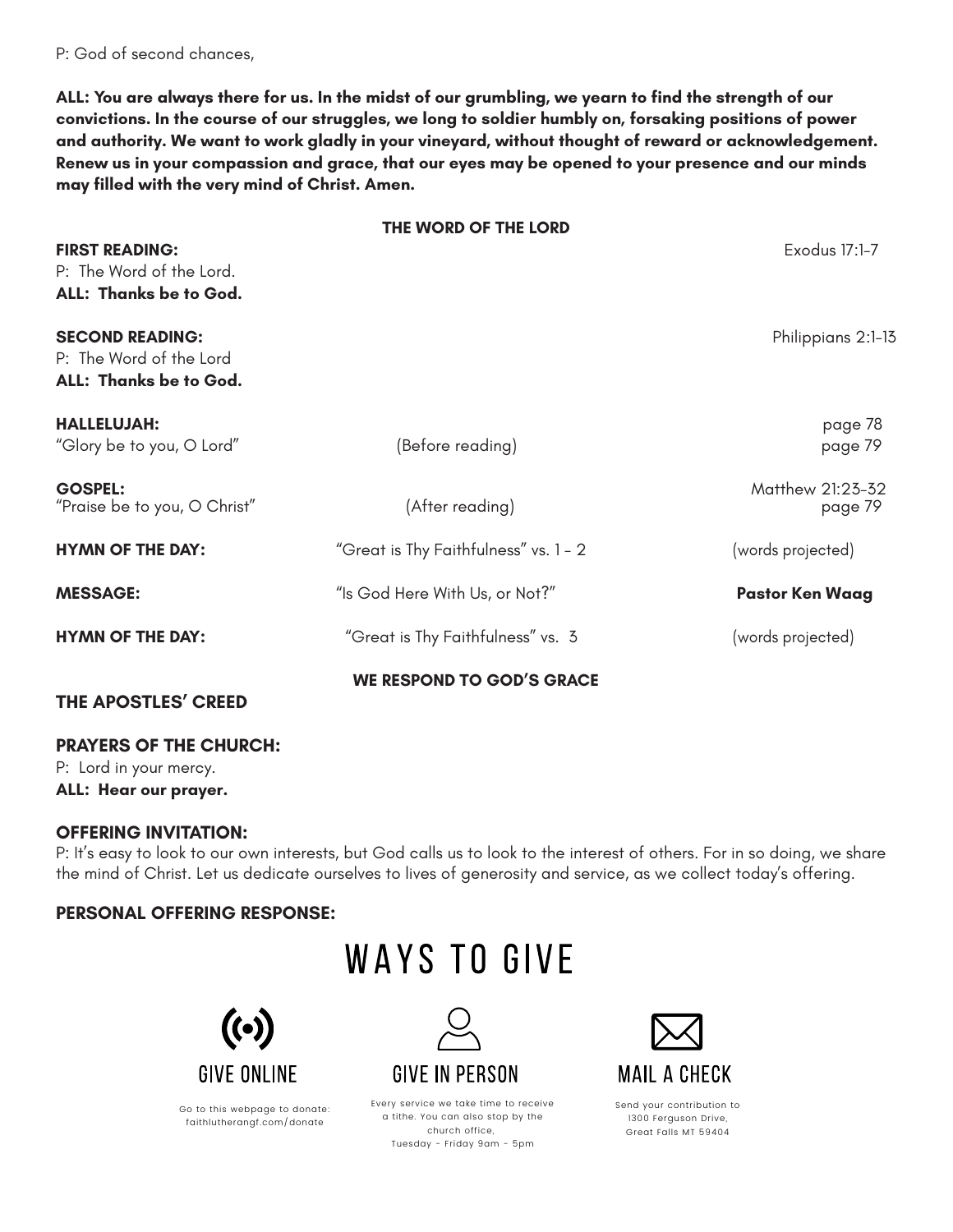P: God of second chances,

**ALL: You are always there for us. In the midst of our grumbling, we yearn to find the strength of our convictions. In the course of our struggles, we long to soldier humbly on, forsaking positions of power and authority. We want to work gladly in your vineyard, without thought of reward or acknowledgement. Renew us in your compassion and grace, that our eyes may be opened to your presence and our minds may filled with the very mind of Christ. Amen.** 

|                                                                             | THE WORD OF THE LORD                  |                             |
|-----------------------------------------------------------------------------|---------------------------------------|-----------------------------|
| <b>FIRST READING:</b><br>P: The Word of the Lord.<br>ALL: Thanks be to God. |                                       | Exodus 17:1-7               |
| <b>SECOND READING:</b><br>P: The Word of the Lord<br>ALL: Thanks be to God. |                                       | Philippians 2:1-13          |
| <b>HALLELUJAH:</b><br>"Glory be to you, O Lord"                             | (Before reading)                      | page 78<br>page 79          |
| <b>GOSPEL:</b><br>"Praise be to you, O Christ"                              | (After reading)                       | Matthew 21:23-32<br>page 79 |
| <b>HYMN OF THE DAY:</b>                                                     | "Great is Thy Faithfulness" vs. 1 - 2 | (words projected)           |
| <b>MESSAGE:</b>                                                             | "Is God Here With Us, or Not?"        | <b>Pastor Ken Waag</b>      |
| <b>HYMN OF THE DAY:</b>                                                     | "Great is Thy Faithfulness" vs. 3     | (words projected)           |
| THE APOSTLES' CREED                                                         | <b>WE RESPOND TO GOD'S GRACE</b>      |                             |

## **PRAYERS OF THE CHURCH:**

P: Lord in your mercy.

**ALL: Hear our prayer.**

# **OFFERING INVITATION:**

P: It's easy to look to our own interests, but God calls us to look to the interest of others. For in so doing, we share the mind of Christ. Let us dedicate ourselves to lives of generosity and service, as we collect today's offering.

# **PERSONAL OFFERING RESPONSE:**

# **WAYS TO GIVE**



Go to this webpage to donate: faithlutherangf.com/donate



Every service we take time to receive a tithe. You can also stop by the church office, Tuesday - Friday 9am - 5pm



Send your contribution to 1300 Ferguson Drive, Great Falls MT 59404